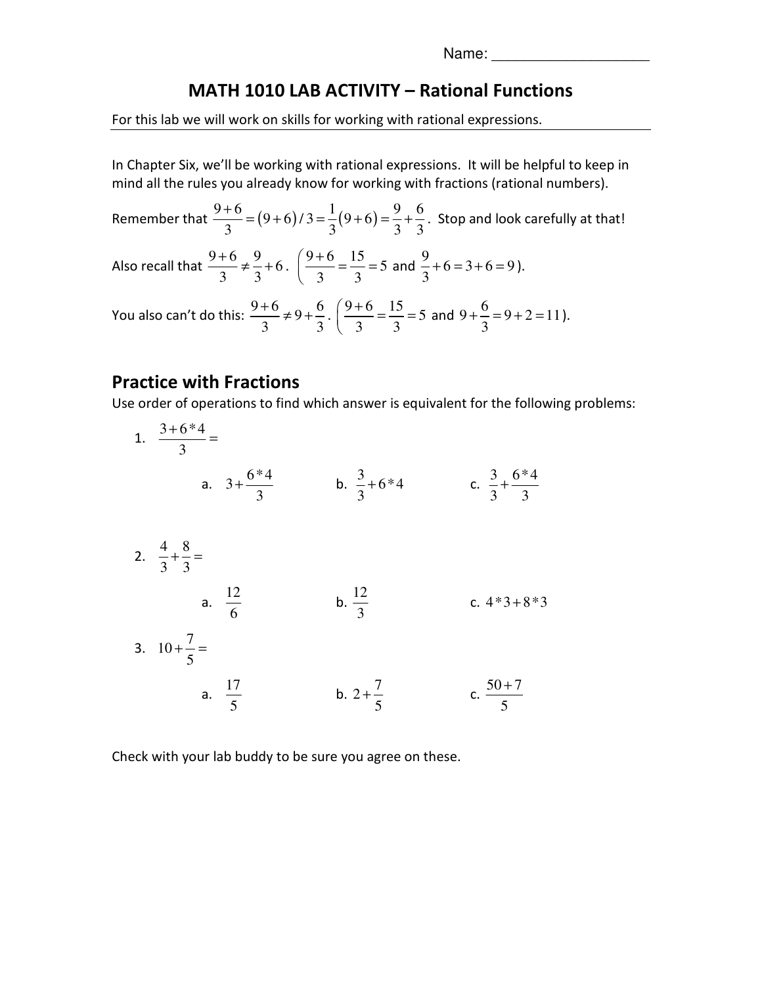Name: \_\_\_\_\_\_\_\_\_\_\_\_\_\_\_\_\_\_\_

## MATH 1010 LAB ACTIVITY – Rational Functions

For this lab we will work on skills for working with rational expressions.

In Chapter Six, we'll be working with rational expressions. It will be helpful to keep in mind all the rules you already know for working with fractions (rational numbers).

Remember that  $\frac{9+6}{3} = (9+6)/3 = \frac{1}{3}(9+6) = \frac{9}{3} + \frac{6}{3}$  $\frac{+6}{2}$  =  $(9+6)/3$  =  $\frac{1}{2}(9+6)$  =  $\frac{9}{2}$  +  $\frac{6}{2}$ . Stop and look carefully at that! Also recall that  $\frac{9+6}{3} \neq \frac{9}{3} + 6$  $\frac{+6}{2}$   $\neq \frac{9}{2}$  + 6.  $\left(\frac{9+6}{2}\right)$  =  $\frac{15}{2}$  = 5 3 3  $(9+$  $\frac{310}{3} = \frac{15}{3} =$ and  $\frac{9}{2} + 6 = 3 + 6 = 9$  $\frac{2}{3}$  + 6 = 3 + 6 = 9 ). You also can't do this:  $\frac{9+6}{3} \neq 9+\frac{6}{3}$  $\frac{+6}{2}$   $\neq$  9  $\frac{6}{2}$ .  $\left(\frac{9+6}{2}\right)$   $\frac{15}{2}$  = 5  $3^{\circ}$  3  $(9+$  $\frac{310}{3} = \frac{15}{3} =$ and  $9 + \frac{6}{2} = 9 + 2 = 11$  $+\frac{6}{3} = 9 + 2 = 11$ .

## Practice with Fractions

Use order of operations to find which answer is equivalent for the following problems:

| 1. $\frac{3+6*4}{3}$ =           |                      |                        |                                  |
|----------------------------------|----------------------|------------------------|----------------------------------|
|                                  | a. $3+\frac{6*4}{3}$ | b. $\frac{3}{3} + 6*4$ | c. $\frac{3}{3} + \frac{6*4}{3}$ |
| 2. $\frac{4}{3} + \frac{8}{3} =$ |                      |                        |                                  |
|                                  | a. $\frac{12}{6}$    | b. $\frac{12}{3}$      | c. $4*3+8*3$                     |
| 3. $10 + \frac{7}{5} =$          |                      |                        |                                  |
|                                  | a. $\frac{17}{5}$    | b. $2+\frac{7}{5}$     | c. $\frac{50+7}{5}$              |

Check with your lab buddy to be sure you agree on these.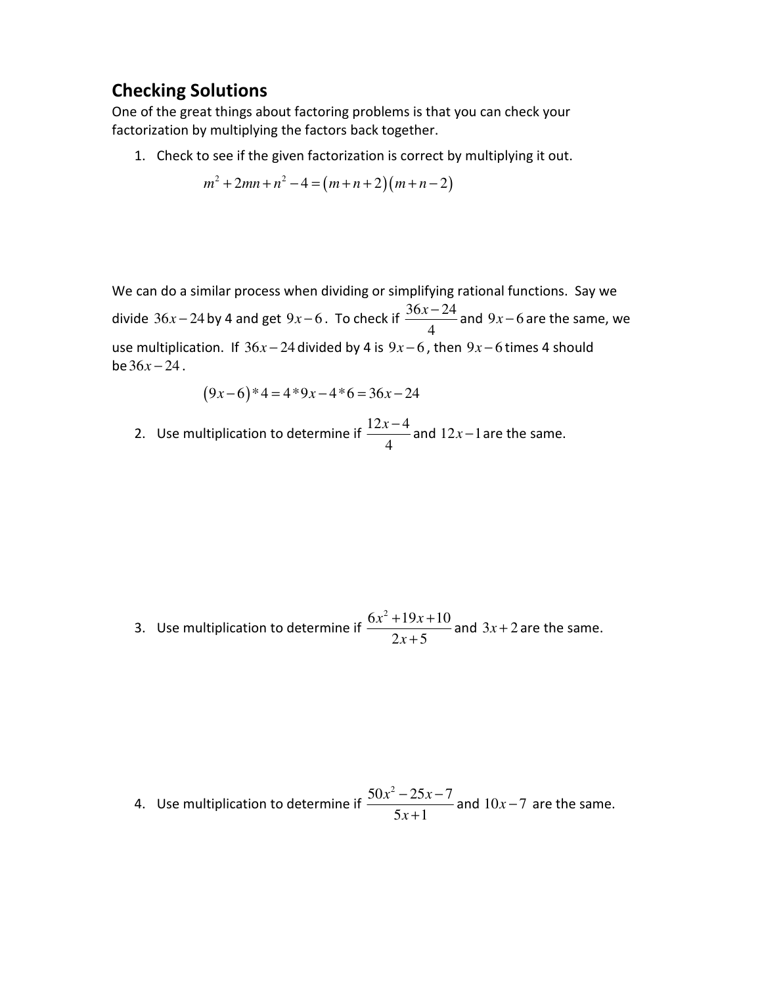## Checking Solutions

One of the great things about factoring problems is that you can check your factorization by multiplying the factors back together.

1. Check to see if the given factorization is correct by multiplying it out.

$$
m^2 + 2mn + n^2 - 4 = (m+n+2)(m+n-2)
$$

We can do a similar process when dividing or simplifying rational functions. Say we divide  $36x - 24$  by 4 and get  $9x - 6$ . To check if  $\frac{36x - 24}{4}$  $\frac{x-24}{x-24}$  and  $9x-6$  are the same, we use multiplication. If  $36x - 24$  divided by 4 is  $9x - 6$ , then  $9x - 6$  times 4 should  $be 36x - 24$ .

$$
(9x-6)*4=4*9x-4*6=36x-24
$$

2. Use multiplication to determine if  $\frac{12x-4}{4}$  $\frac{x-4}{x}$  and 12x – 1 are the same.

3. Use multiplication to determine if  $6x^2 + 19x + 10$  $2x + 5$  $x^2 + 19x$ *x*  $+19x +$ + and  $3x + 2$  are the same.

4. Use multiplication to determine if  $50x^2 - 25x - 7$  $5x + 1$  $x^2 - 25x$ *x*  $-25x-$ + and  $10x - 7$  are the same.